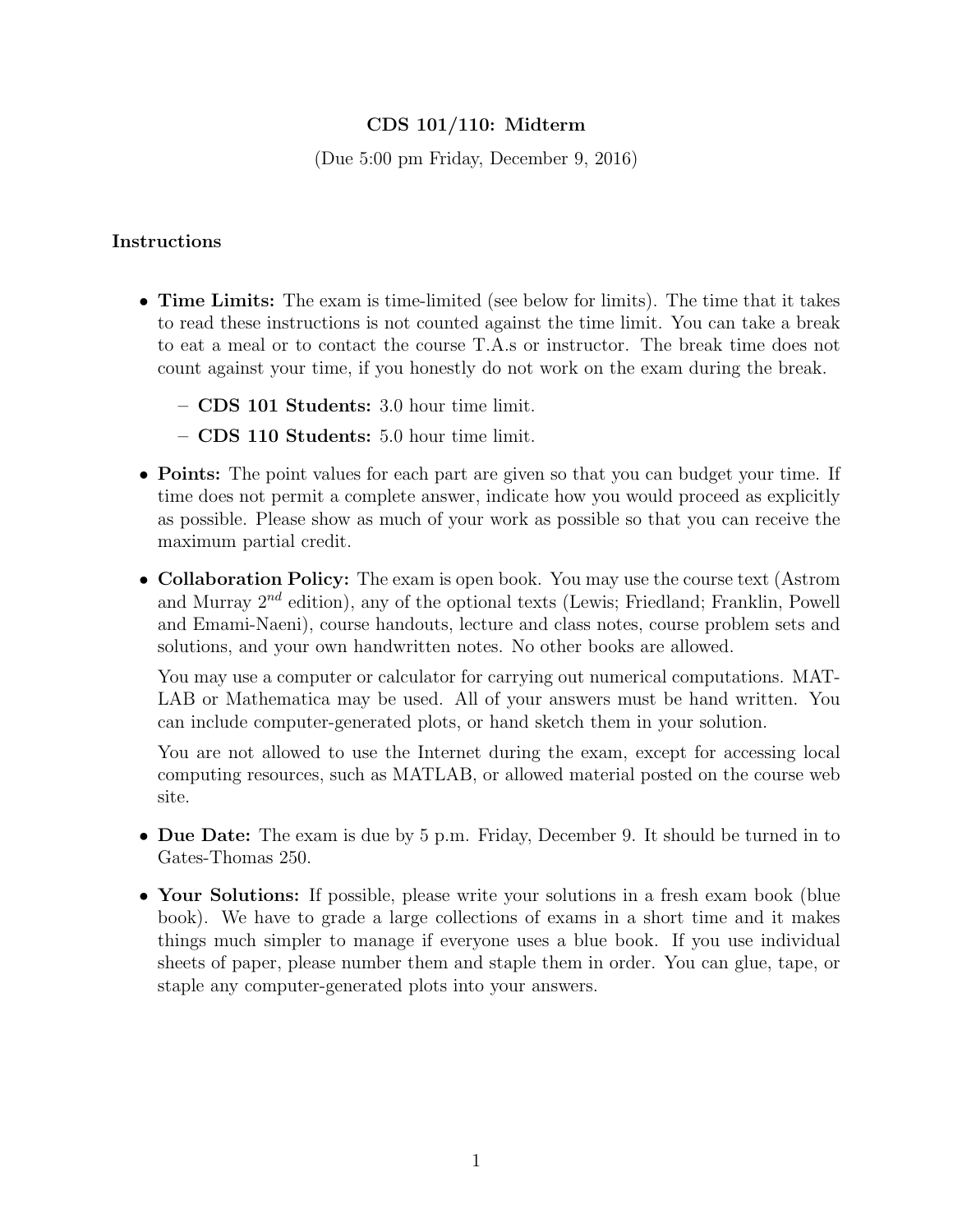# CDS 101/110: Midterm

(Due 5:00 pm Friday, December 9, 2016)

## Instructions

- Time Limits: The exam is time-limited (see below for limits). The time that it takes to read these instructions is not counted against the time limit. You can take a break to eat a meal or to contact the course T.A.s or instructor. The break time does not count against your time, if you honestly do not work on the exam during the break.
	- CDS 101 Students: 3.0 hour time limit.
	- CDS 110 Students: 5.0 hour time limit.
- Points: The point values for each part are given so that you can budget your time. If time does not permit a complete answer, indicate how you would proceed as explicitly as possible. Please show as much of your work as possible so that you can receive the maximum partial credit.
- Collaboration Policy: The exam is open book. You may use the course text (Astrom and Murray  $2^{nd}$  edition), any of the optional texts (Lewis; Friedland; Franklin, Powell and Emami-Naeni), course handouts, lecture and class notes, course problem sets and solutions, and your own handwritten notes. No other books are allowed.

You may use a computer or calculator for carrying out numerical computations. MAT-LAB or Mathematica may be used. All of your answers must be hand written. You can include computer-generated plots, or hand sketch them in your solution.

You are not allowed to use the Internet during the exam, except for accessing local computing resources, such as MATLAB, or allowed material posted on the course web site.

- Due Date: The exam is due by 5 p.m. Friday, December 9. It should be turned in to Gates-Thomas 250.
- Your Solutions: If possible, please write your solutions in a fresh exam book (blue book). We have to grade a large collections of exams in a short time and it makes things much simpler to manage if everyone uses a blue book. If you use individual sheets of paper, please number them and staple them in order. You can glue, tape, or staple any computer-generated plots into your answers.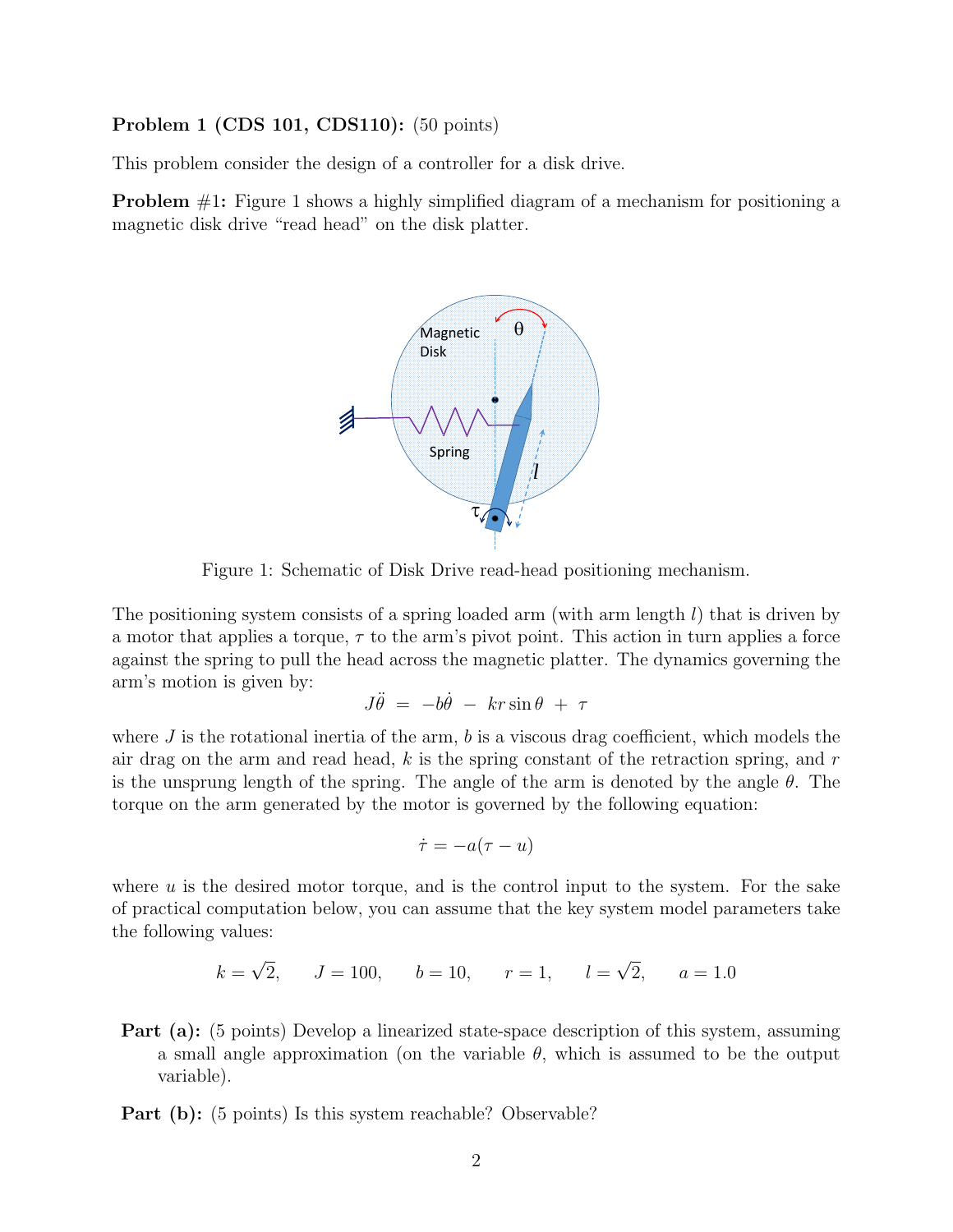#### Problem 1 (CDS 101, CDS110): (50 points)

This problem consider the design of a controller for a disk drive.

Problem #1: Figure 1 shows a highly simplified diagram of a mechanism for positioning a magnetic disk drive "read head" on the disk platter.



Figure 1: Schematic of Disk Drive read-head positioning mechanism.

The positioning system consists of a spring loaded arm (with arm length  $l$ ) that is driven by a motor that applies a torque,  $\tau$  to the arm's pivot point. This action in turn applies a force against the spring to pull the head across the magnetic platter. The dynamics governing the arm's motion is given by:

$$
J\ddot{\theta} = -b\dot{\theta} - kr\sin\theta + \tau
$$

where J is the rotational inertia of the arm,  $b$  is a viscous drag coefficient, which models the air drag on the arm and read head,  $k$  is the spring constant of the retraction spring, and  $r$ is the unsprung length of the spring. The angle of the arm is denoted by the angle  $\theta$ . The torque on the arm generated by the motor is governed by the following equation:

$$
\dot{\tau} = -a(\tau - u)
$$

where  $u$  is the desired motor torque, and is the control input to the system. For the sake of practical computation below, you can assume that the key system model parameters take the following values:

$$
k = \sqrt{2}
$$
,  $J = 100$ ,  $b = 10$ ,  $r = 1$ ,  $l = \sqrt{2}$ ,  $a = 1.0$ 

- Part (a): (5 points) Develop a linearized state-space description of this system, assuming a small angle approximation (on the variable  $\theta$ , which is assumed to be the output variable).
- **Part (b):** (5 points) Is this system reachable? Observable?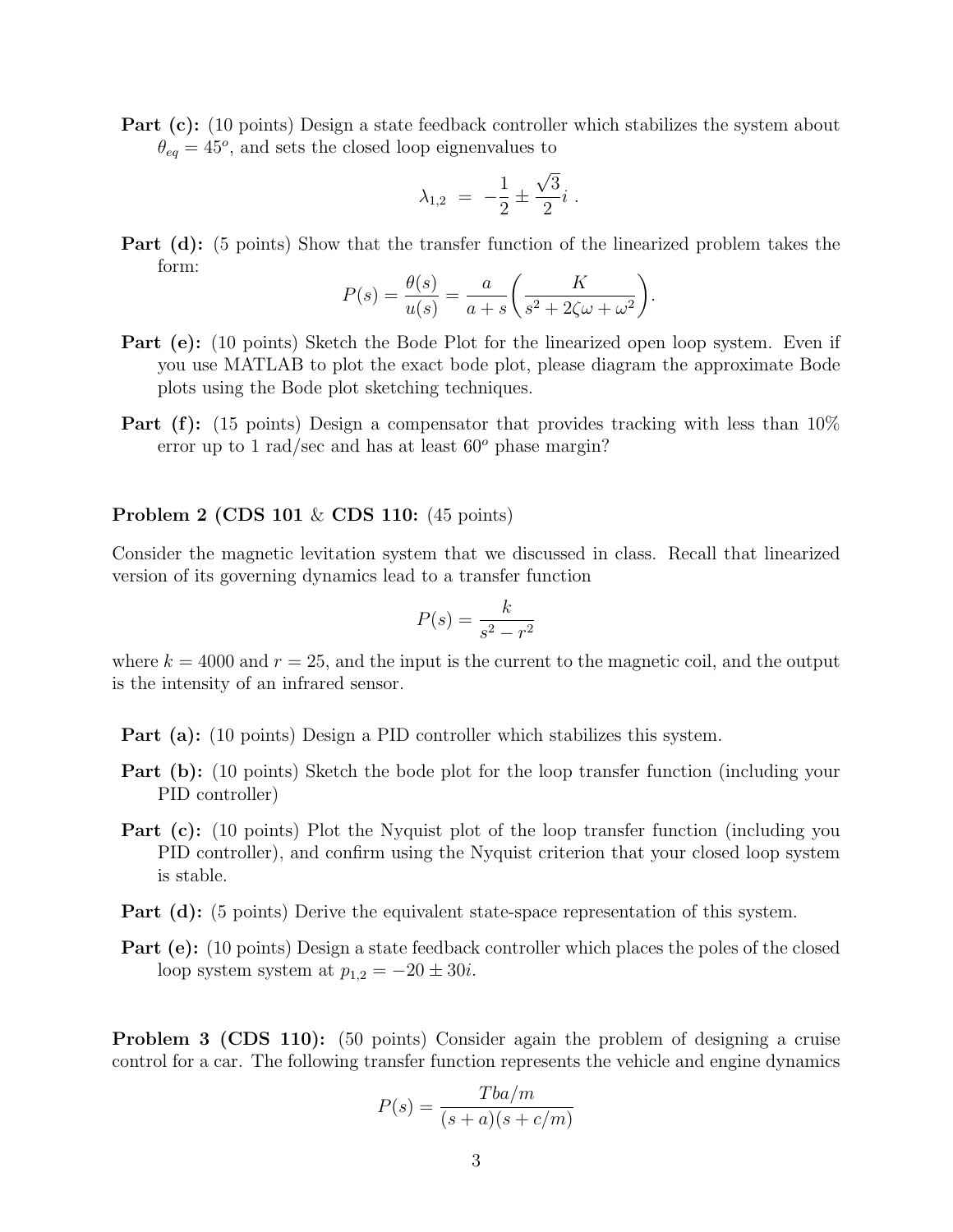Part (c): (10 points) Design a state feedback controller which stabilizes the system about  $\theta_{eq} = 45^{\circ}$ , and sets the closed loop eignenvalues to

$$
\lambda_{1,2} = -\frac{1}{2} \pm \frac{\sqrt{3}}{2} i \; .
$$

Part (d): (5 points) Show that the transfer function of the linearized problem takes the form:

$$
P(s) = \frac{\theta(s)}{u(s)} = \frac{a}{a+s} \left( \frac{K}{s^2 + 2\zeta\omega + \omega^2} \right).
$$

- Part (e): (10 points) Sketch the Bode Plot for the linearized open loop system. Even if you use MATLAB to plot the exact bode plot, please diagram the approximate Bode plots using the Bode plot sketching techniques.
- **Part (f):** (15 points) Design a compensator that provides tracking with less than 10% error up to 1 rad/sec and has at least  $60^{\circ}$  phase margin?

#### **Problem 2 (CDS 101** & **CDS 110:** (45 points)

Consider the magnetic levitation system that we discussed in class. Recall that linearized version of its governing dynamics lead to a transfer function

$$
P(s) = \frac{k}{s^2 - r^2}
$$

where  $k = 4000$  and  $r = 25$ , and the input is the current to the magnetic coil, and the output is the intensity of an infrared sensor.

- Part (a): (10 points) Design a PID controller which stabilizes this system.
- **Part (b):** (10 points) Sketch the bode plot for the loop transfer function (including your PID controller)
- **Part (c):** (10 points) Plot the Nyquist plot of the loop transfer function (including you PID controller), and confirm using the Nyquist criterion that your closed loop system is stable.
- Part (d): (5 points) Derive the equivalent state-space representation of this system.
- **Part (e):** (10 points) Design a state feedback controller which places the poles of the closed loop system system at  $p_{1,2} = -20 \pm 30i$ .

**Problem 3 (CDS 110):** (50 points) Consider again the problem of designing a cruise control for a car. The following transfer function represents the vehicle and engine dynamics

$$
P(s) = \frac{Tba/m}{(s+a)(s+c/m)}
$$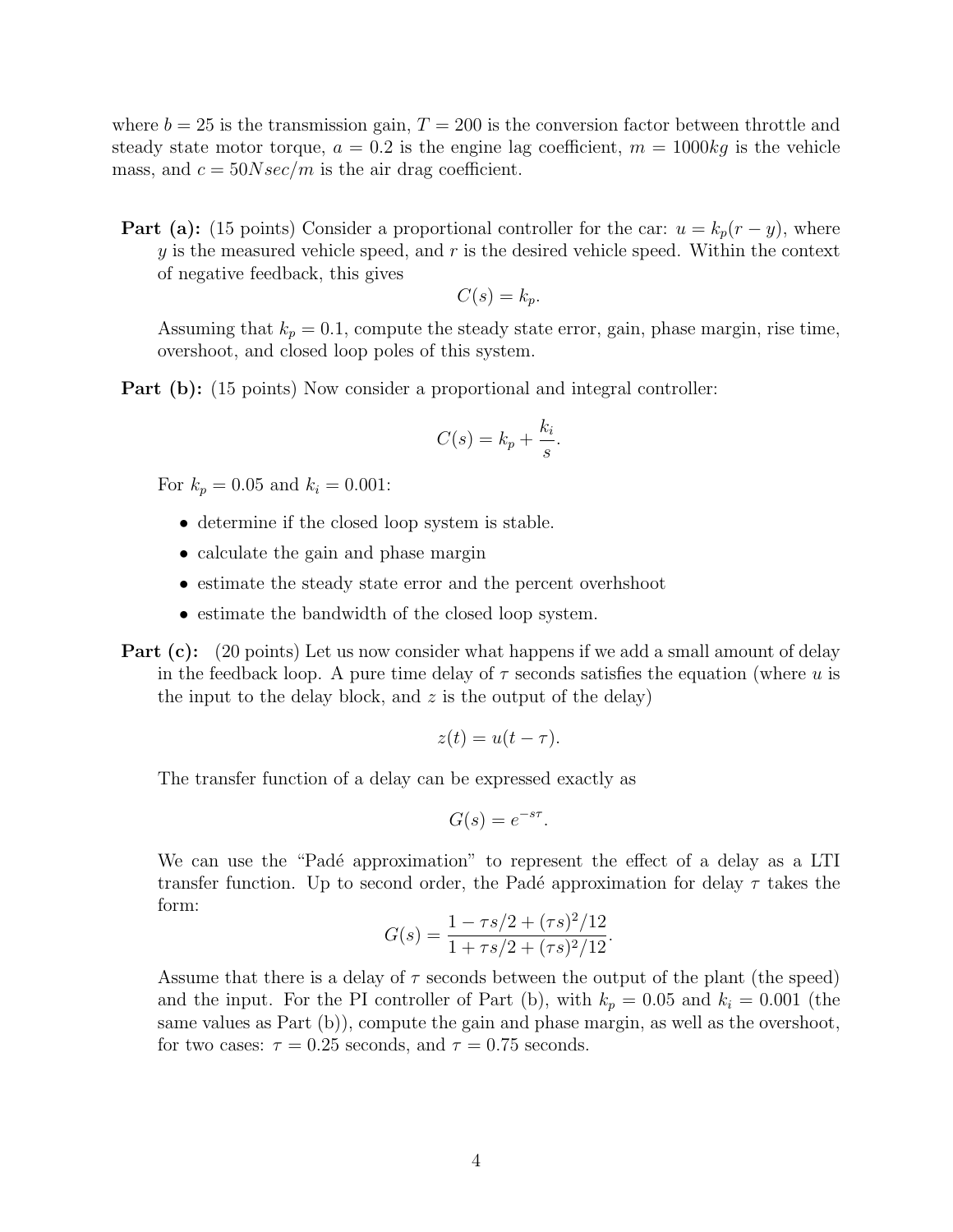where  $b = 25$  is the transmission gain,  $T = 200$  is the conversion factor between throttle and steady state motor torque,  $a = 0.2$  is the engine lag coefficient,  $m = 1000kg$  is the vehicle mass, and  $c = 50Nsec/m$  is the air drag coefficient.

**Part (a):** (15 points) Consider a proportional controller for the car:  $u = k_p(r - y)$ , where y is the measured vehicle speed, and  $r$  is the desired vehicle speed. Within the context of negative feedback, this gives

$$
C(s) = k_p.
$$

Assuming that  $k_p = 0.1$ , compute the steady state error, gain, phase margin, rise time, overshoot, and closed loop poles of this system.

Part (b): (15 points) Now consider a proportional and integral controller:

$$
C(s) = k_p + \frac{k_i}{s}.
$$

For  $k_p = 0.05$  and  $k_i = 0.001$ :

- determine if the closed loop system is stable.
- calculate the gain and phase margin
- estimate the steady state error and the percent overhshoot
- estimate the bandwidth of the closed loop system.
- **Part (c):** (20 points) Let us now consider what happens if we add a small amount of delay in the feedback loop. A pure time delay of  $\tau$  seconds satisfies the equation (where u is the input to the delay block, and  $z$  is the output of the delay)

$$
z(t) = u(t - \tau).
$$

The transfer function of a delay can be expressed exactly as

$$
G(s) = e^{-s\tau}.
$$

We can use the "Padé approximation" to represent the effect of a delay as a LTI transfer function. Up to second order, the Padé approximation for delay  $\tau$  takes the form:

$$
G(s) = \frac{1 - \tau s/2 + (\tau s)^2/12}{1 + \tau s/2 + (\tau s)^2/12}.
$$

Assume that there is a delay of  $\tau$  seconds between the output of the plant (the speed) and the input. For the PI controller of Part (b), with  $k_p = 0.05$  and  $k_i = 0.001$  (the same values as Part (b)), compute the gain and phase margin, as well as the overshoot, for two cases:  $\tau = 0.25$  seconds, and  $\tau = 0.75$  seconds.